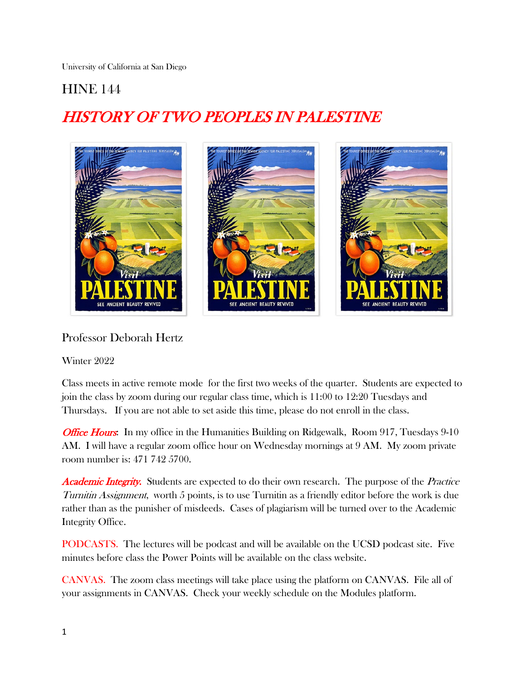University of California at San Diego

# **HINE 144**

# HISTORY OF TWO PEOPLES IN PALESTINE



# Professor Deborah Hertz

# Winter 2022

Class meets in active remote mode for the first two weeks of the quarter. Students are expected to join the class by zoom during our regular class time, which is 11:00 to 12:20 Tuesdays and Thursdays. If you are not able to set aside this time, please do not enroll in the class.

*Office Hours***:** In my office in the Humanities Building on Ridgewalk, Room 917, Tuesdays 9-10 AM. I will have a regular zoom office hour on Wednesday mornings at 9 AM. My zoom private room number is: 471 742 5700.

**Academic Integrity.** Students are expected to do their own research. The purpose of the *Practice* Turnitin Assignment, worth 5 points, is to use Turnitin as a friendly editor before the work is due rather than as the punisher of misdeeds. Cases of plagiarism will be turned over to the Academic Integrity Office.

PODCASTS. The lectures will be podcast and will be available on the UCSD podcast site. Five minutes before class the Power Points will be available on the class website.

CANVAS. The zoom class meetings will take place using the platform on CANVAS. File all of your assignments in CANVAS. Check your weekly schedule on the Modules platform.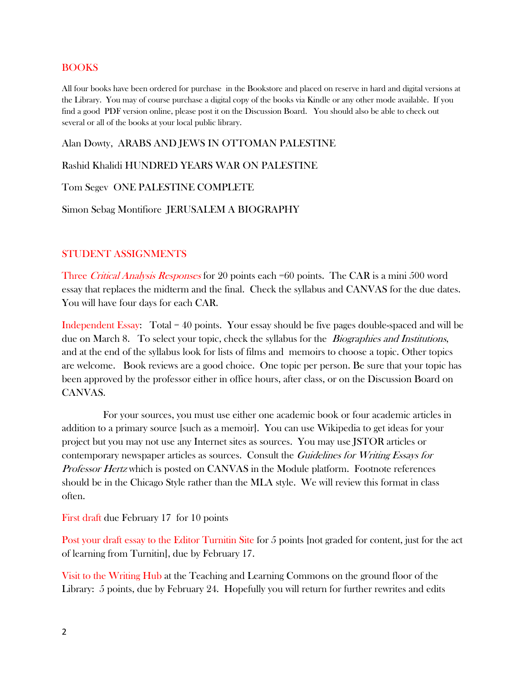# BOOKS

All four books have been ordered for purchase in the Bookstore and placed on reserve in hard and digital versions at the Library. You may of course purchase a digital copy of the books via Kindle or any other mode available. If you find a good PDF version online, please post it on the Discussion Board. You should also be able to check out several or all of the books at your local public library.

# Alan Dowty, ARABS AND JEWS IN OTTOMAN PALESTINE

Rashid Khalidi HUNDRED YEARS WAR ON PALESTINE

Tom Segev ONE PALESTINE COMPLETE

Simon Sebag Montifiore JERUSALEM A BIOGRAPHY

#### STUDENT ASSIGNMENTS

Three *Critical Analysis Responses* for 20 points each =60 points. The CAR is a mini 500 word essay that replaces the midterm and the final. Check the syllabus and CANVAS for the due dates. You will have four days for each CAR.

Independent Essay: Total = 40 points. Your essay should be five pages double-spaced and will be due on March 8. To select your topic, check the syllabus for the *Biographies and Institutions*, and at the end of the syllabus look for lists of films and memoirs to choose a topic. Other topics are welcome. Book reviews are a good choice. One topic per person. Be sure that your topic has been approved by the professor either in office hours, after class, or on the Discussion Board on CANVAS.

 For your sources, you must use either one academic book or four academic articles in addition to a primary source [such as a memoir]. You can use Wikipedia to get ideas for your project but you may not use any Internet sites as sources. You may use JSTOR articles or contemporary newspaper articles as sources. Consult the *Guidelines for Writing Essays for* Professor Hertz which is posted on CANVAS in the Module platform. Footnote references should be in the Chicago Style rather than the MLA style. We will review this format in class often.

First draft due February 17 for 10 points

Post your draft essay to the Editor Turnitin Site for 5 points [not graded for content, just for the act of learning from Turnitin], due by February 17.

Visit to the Writing Hub at the Teaching and Learning Commons on the ground floor of the Library: 5 points, due by February 24. Hopefully you will return for further rewrites and edits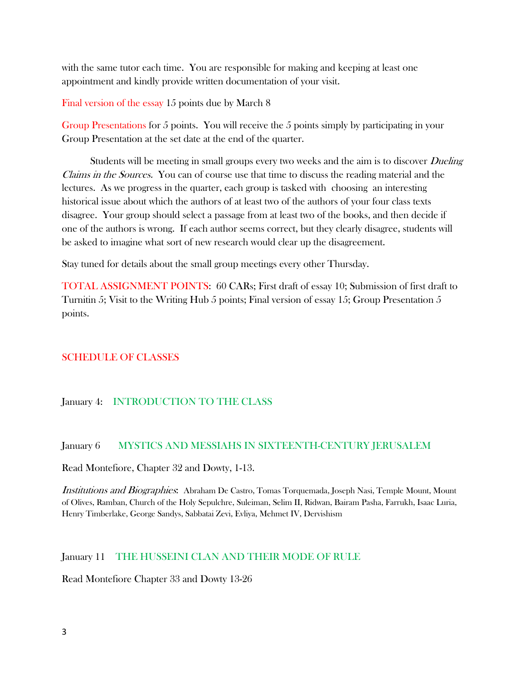with the same tutor each time. You are responsible for making and keeping at least one appointment and kindly provide written documentation of your visit.

Final version of the essay 15 points due by March 8

Group Presentations for 5 points. You will receive the 5 points simply by participating in your Group Presentation at the set date at the end of the quarter.

Students will be meeting in small groups every two weeks and the aim is to discover *Dueling* Claims in the Sources. You can of course use that time to discuss the reading material and the lectures. As we progress in the quarter, each group is tasked with choosing an interesting historical issue about which the authors of at least two of the authors of your four class texts disagree. Your group should select a passage from at least two of the books, and then decide if one of the authors is wrong. If each author seems correct, but they clearly disagree, students will be asked to imagine what sort of new research would clear up the disagreement.

Stay tuned for details about the small group meetings every other Thursday.

TOTAL ASSIGNMENT POINTS: 60 CARs; First draft of essay 10; Submission of first draft to Turnitin 5; Visit to the Writing Hub 5 points; Final version of essay 15; Group Presentation 5 points.

# SCHEDULE OF CLASSES

# January 4: INTRODUCTION TO THE CLASS

# January 6 MYSTICS AND MESSIAHS IN SIXTEENTH-CENTURY JERUSALEM

Read Montefiore, Chapter 32 and Dowty, 1-13.

Institutions and Biographies: Abraham De Castro, Tomas Torquemada, Joseph Nasi, Temple Mount, Mount of Olives, Ramban, Church of the Holy Sepulchre, Suleiman, Selim II, Ridwan, Bairam Pasha, Farrukh, Isaac Luria, Henry Timberlake, George Sandys, Sabbatai Zevi, Evliya, Mehmet IV, Dervishism

# January 11 THE HUSSEINI CLAN AND THEIR MODE OF RULE

Read Montefiore Chapter 33 and Dowty 13-26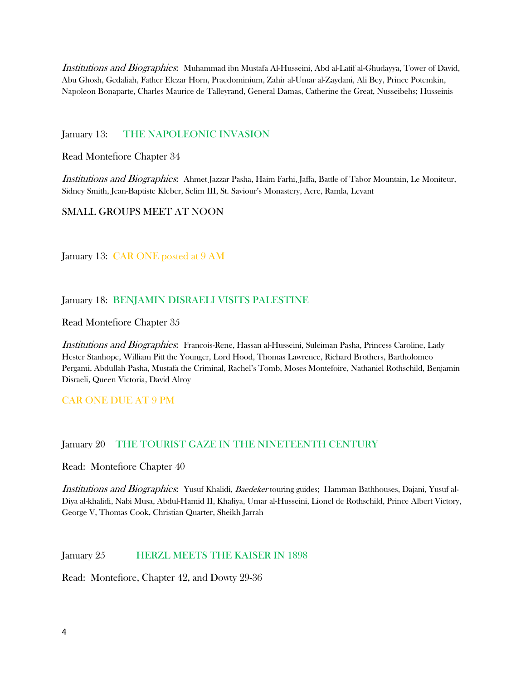Institutions and Biographies: Muhammad ibn Mustafa Al-Husseini, Abd al-Latif al-Ghudayya, Tower of David, Abu Ghosh, Gedaliah, Father Elezar Horn, Praedominium, Zahir al-Umar al-Zaydani, Ali Bey, Prince Potemkin, Napoleon Bonaparte, Charles Maurice de Talleyrand, General Damas, Catherine the Great, Nusseibehs; Husseinis

January 13: THE NAPOLEONIC INVASION

Read Montefiore Chapter 34

Institutions and Biographies: Ahmet Jazzar Pasha, Haim Farhi, Jaffa, Battle of Tabor Mountain, Le Moniteur, Sidney Smith, Jean-Baptiste Kleber, Selim III, St. Saviour's Monastery, Acre, Ramla, Levant

#### SMALL GROUPS MEET AT NOON

January 13: CAR ONE posted at 9 AM

#### January 18: BENJAMIN DISRAELI VISITS PALESTINE

Read Montefiore Chapter 35

Institutions and Biographies: Francois-Rene, Hassan al-Husseini, Suleiman Pasha, Princess Caroline, Lady Hester Stanhope, William Pitt the Younger, Lord Hood, Thomas Lawrence, Richard Brothers, Bartholomeo Pergami, Abdullah Pasha, Mustafa the Criminal, Rachel's Tomb, Moses Montefoire, Nathaniel Rothschild, Benjamin Disraeli, Queen Victoria, David Alroy

CAR ONE DUE AT 9 PM

#### January 20 THE TOURIST GAZE IN THE NINETEENTH CENTURY

Read: Montefiore Chapter 40

Institutions and Biographies: Yusuf Khalidi, Baedeker touring guides; Hamman Bathhouses, Dajani, Yusuf al-Diya al-khalidi, Nabi Musa, Abdul-Hamid II, Khafiya, Umar al-Husseini, Lionel de Rothschild, Prince Albert Victory, George V, Thomas Cook, Christian Quarter, Sheikh Jarrah

#### January 25 **HERZL MEETS THE KAISER IN 1898**

Read: Montefiore, Chapter 42, and Dowty 29-36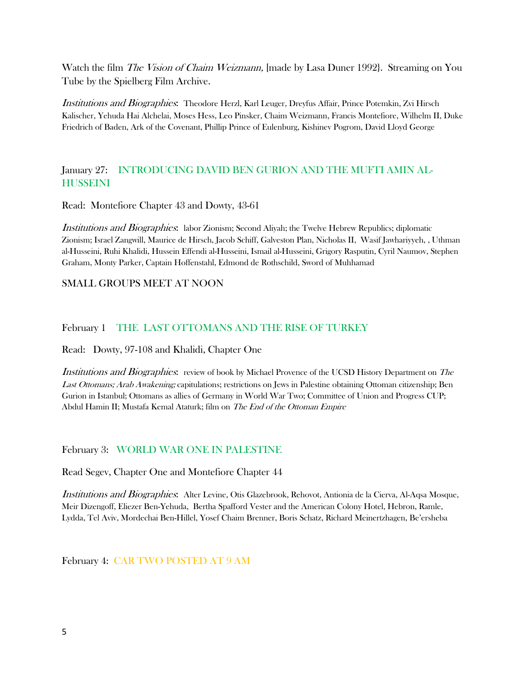Watch the film *The Vision of Chaim Weizmann*, [made by Lasa Duner 1992]. Streaming on You Tube by the Spielberg Film Archive.

Institutions and Biographies: Theodore Herzl, Karl Leuger, Dreyfus Affair, Prince Potemkin, Zvi Hirsch Kalischer, Yehuda Hai Alchelai, Moses Hess, Leo Pinsker, Chaim Weizmann, Francis Montefiore, Wilhelm II, Duke Friedrich of Baden, Ark of the Covenant, Phillip Prince of Eulenburg, Kishinev Pogrom, David Lloyd George

# January 27: INTRODUCING DAVID BEN GURION AND THE MUFTI AMIN AL-**HUSSEINI**

Read: Montefiore Chapter 43 and Dowty, 43-61

Institutions and Biographies: labor Zionism; Second Aliyah; the Twelve Hebrew Republics; diplomatic Zionism; Israel Zangwill, Maurice de Hirsch, Jacob Schiff, Galveston Plan, Nicholas II, Wasif Jawhariyyeh, , Uthman al-Husseini, Ruhi Khalidi, Hussein Effendi al-Husseini, Ismail al-Husseini, Grigory Rasputin, Cyril Naumov, Stephen Graham, Monty Parker, Captain Hoffenstahl, Edmond de Rothschild, Sword of Muhhamad

# SMALL GROUPS MEET AT NOON

# February 1 THE LAST OTTOMANS AND THE RISE OF TURKEY

Read: Dowty, 97-108 and Khalidi, Chapter One

Institutions and Biographies: review of book by Michael Provence of the UCSD History Department on The Last Ottomans; Arab Awakening; capitulations; restrictions on Jews in Palestine obtaining Ottoman citizenship; Ben Gurion in Istanbul; Ottomans as allies of Germany in World War Two; Committee of Union and Progress CUP; Abdul Hamin II; Mustafa Kemal Ataturk; film on The End of the Ottoman Empire

# February 3: WORLD WAR ONE IN PALESTINE

Read Segev, Chapter One and Montefiore Chapter 44

Institutions and Biographies: Alter Levine, Otis Glazebrook, Rehovot, Antionia de la Cierva, Al-Aqsa Mosque, Meir Dizengoff, Eliezer Ben-Yehuda, Bertha Spafford Vester and the American Colony Hotel, Hebron, Ramle, Lydda, Tel Aviv, Mordechai Ben-Hillel, Yosef Chaim Brenner, Boris Schatz, Richard Meinertzhagen, Be'ersheba

February 4: CAR TWO POSTED AT 9 AM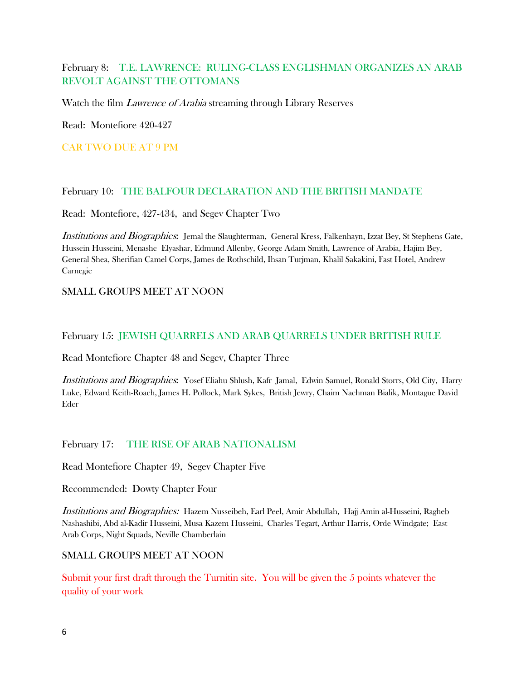# February 8: T.E. LAWRENCE: RULING-CLASS ENGLISHMAN ORGANIZES AN ARAB REVOLT AGAINST THE OTTOMANS

Watch the film *Lawrence of Arabia* streaming through Library Reserves

Read: Montefiore 420-427

CAR TWO DUE AT 9 PM

# February 10: THE BALFOUR DECLARATION AND THE BRITISH MANDATE

Read: Montefiore, 427-434, and Segev Chapter Two

Institutions and Biographies: Jemal the Slaughterman, General Kress, Falkenhayn, Izzat Bey, St Stephens Gate, Hussein Husseini, Menashe Elyashar, Edmund Allenby, George Adam Smith, Lawrence of Arabia, Hajim Bey, General Shea, Sherifian Camel Corps, James de Rothschild, Ihsan Turjman, Khalil Sakakini, Fast Hotel, Andrew Carnegie

# SMALL GROUPS MEET AT NOON

# February 15: JEWISH QUARRELS AND ARAB QUARRELS UNDER BRITISH RULE

Read Montefiore Chapter 48 and Segev, Chapter Three

Institutions and Biographies: Yosef Eliahu Shlush, Kafr Jamal, Edwin Samuel, Ronald Storrs, Old City, Harry Luke, Edward Keith-Roach, James H. Pollock, Mark Sykes, British Jewry, Chaim Nachman Bialik, Montague David Eder

# February 17: THE RISE OF ARAB NATIONALISM

Read Montefiore Chapter 49, Segev Chapter Five

Recommended: Dowty Chapter Four

Institutions and Biographies: Hazem Nusseibeh, Earl Peel, Amir Abdullah, Hajj Amin al-Husseini, Ragheb Nashashibi, Abd al-Kadir Husseini, Musa Kazem Husseini, Charles Tegart, Arthur Harris, Orde Windgate; East Arab Corps, Night Squads, Neville Chamberlain

# SMALL GROUPS MEET AT NOON

Submit your first draft through the Turnitin site. You will be given the 5 points whatever the quality of your work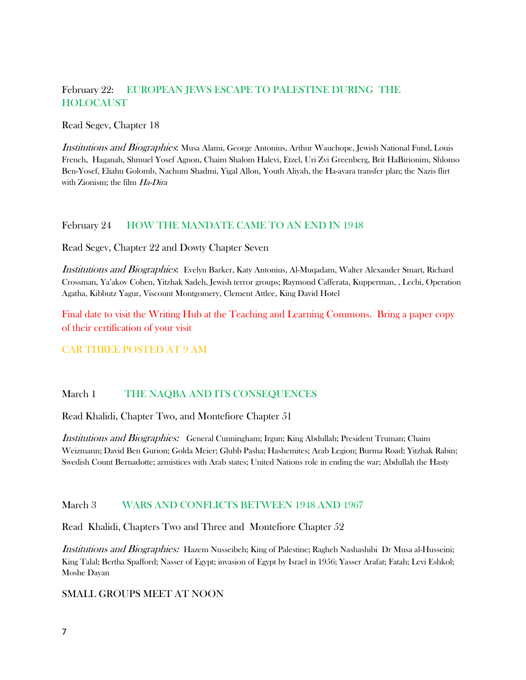# February 22: EUROPEAN JEWS ESCAPE TO PALESTINE DURING THE HOLOCAUST

Read Segev, Chapter 18

Institutions and Biographies: Musa Alami, George Antonius, Arthur Wauchope, Jewish National Fund, Louis French, Haganah, Shmuel Yosef Agnon, Chaim Shalom Halevi, Etzel, Uri Zvi Greenberg, Brit HaBirionim, Shlomo Ben-Yosef, Eliahu Golomb, Nachum Shadmi, Yigal Allon, Youth Aliyah, the Ha-avara transfer plan; the Nazis flirt with Zionism; the film Ha-Dira

# February 24 HOW THE MANDATE CAME TO AN END IN 1948

Read Segev, Chapter 22 and Dowty Chapter Seven

Institutions and Biographies: Evelyn Barker, Katy Antonius, Al-Muqadam, Walter Alexander Smart, Richard Crossman, Ya'akov Cohen, Yitzhak Sadeh, Jewish terror groups; Raymond Cafferata, Kupperman, , Lechi, Operation Agatha, Kibbutz Yagur, Viscount Montgomery, Clement Attlee, King David Hotel

Final date to visit the Writing Hub at the Teaching and Learning Commons. Bring a paper copy of their certification of your visit

# CAR THREE POSTED AT 9 AM

# March 1 THE NAQBA AND ITS CONSEQUENCES

Read Khalidi, Chapter Two, and Montefiore Chapter 51

Institutions and Biographies: General Cunningham; Irgun; King Abdullah; President Truman; Chaim Weizmann; David Ben Gurion; Golda Meier; Glubb Pasha; Hashemites; Arab Legion; Burma Road; Yitzhak Rabin; Swedish Count Bernadotte; armistices with Arab states; United Nations role in ending the war; Abdullah the Hasty

#### March 3 WARS AND CONFLICTS BETWEEN 1948 AND 1967

Read Khalidi, Chapters Two and Three and Montefiore Chapter 52

Institutions and Biographies: Hazem Nusseibeh; King of Palestine; Ragheb Nashashibi Dr Musa al-Husseini; King Talal; Bertha Spafford; Nasser of Egypt; invasion of Egypt by Israel in 1956; Yasser Arafat; Fatah; Levi Eshkol; Moshe Dayan

#### SMALL GROUPS MEET AT NOON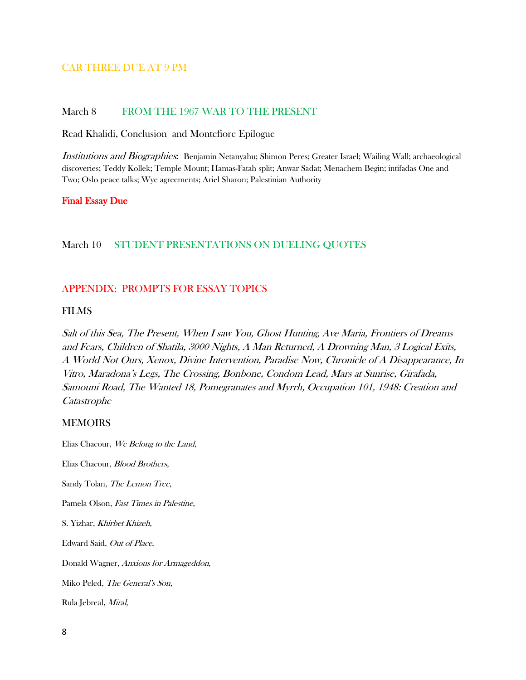#### CAR THREE DUE AT 9 PM

#### March 8 FROM THE 1967 WAR TO THE PRESENT

Read Khalidi, Conclusion and Montefiore Epilogue

Institutions and Biographies: Benjamin Netanyahu; Shimon Peres; Greater Israel; Wailing Wall; archaeological discoveries; Teddy Kollek; Temple Mount; Hamas-Fatah split; Anwar Sadat; Menachem Begin; intifadas One and Two; Oslo peace talks; Wye agreements; Ariel Sharon; Palestinian Authority

#### Final Essay Due

#### March 10 STUDENT PRESENTATIONS ON DUELING QUOTES

#### APPENDIX: PROMPTS FOR ESSAY TOPICS

#### FILMS

Salt of this Sea, The Present, When I saw You, Ghost Hunting, Ave Maria, Frontiers of Dreams and Fears, Children of Shatila, 3000 Nights, A Man Returned, A Drowning Man, 3 Logical Exits, A World Not Ours, Xenox, Divine Intervention, Paradise Now, Chronicle of A Disappearance, In Vitro, Maradona's Legs, The Crossing, Bonbone, Condom Lead, Mars at Sunrise, Girafada, Samouni Road, The Wanted 18, Pomegranates and Myrrh, Occupation 101, 1948: Creation and Catastrophe

#### MEMOIRS

Elias Chacour, We Belong to the Land,

Elias Chacour, Blood Brothers, Sandy Tolan, The Lemon Tree,

Pamela Olson, Fast Times in Palestine,

S. Yizhar, Khirbet Khizeh,

Edward Said, Out of Place,

Donald Wagner, Anxious for Armageddon,

Miko Peled, The General's Son,

Rula Jebreal, Miral,